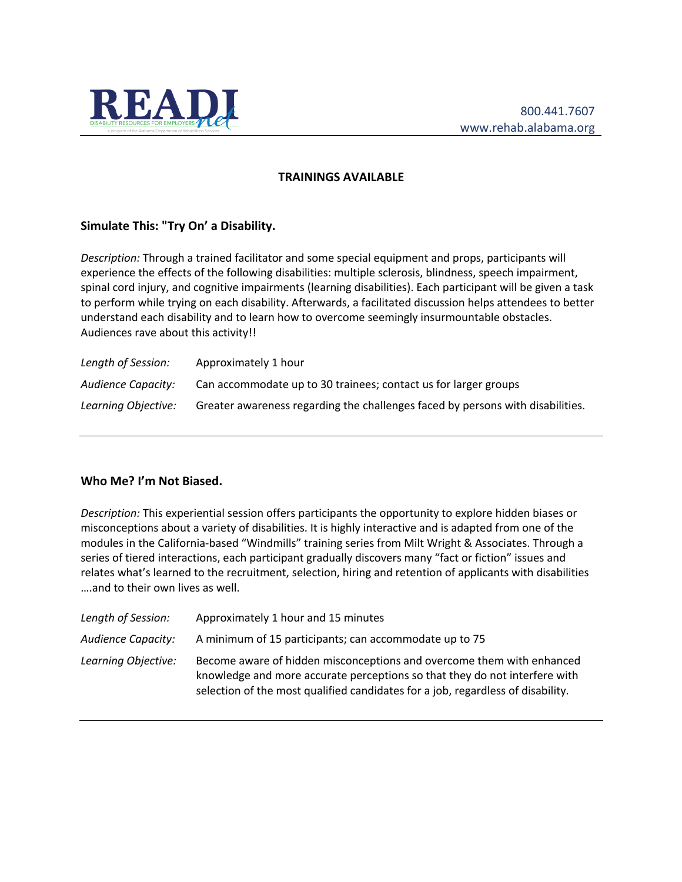

#### **TRAININGS AVAILABLE**

### **Simulate This: "Try On' a Disability.**

*Description:* Through a trained facilitator and some special equipment and props, participants will experience the effects of the following disabilities: multiple sclerosis, blindness, speech impairment, spinal cord injury, and cognitive impairments (learning disabilities). Each participant will be given a task to perform while trying on each disability. Afterwards, a facilitated discussion helps attendees to better understand each disability and to learn how to overcome seemingly insurmountable obstacles. Audiences rave about this activity!!

| Length of Session:  | Approximately 1 hour                                                           |
|---------------------|--------------------------------------------------------------------------------|
| Audience Capacity:  | Can accommodate up to 30 trainees; contact us for larger groups                |
| Learning Objective: | Greater awareness regarding the challenges faced by persons with disabilities. |

# **Who Me? I'm Not Biased.**

*Description:* This experiential session offers participants the opportunity to explore hidden biases or misconceptions about a variety of disabilities. It is highly interactive and is adapted from one of the modules in the California-based "Windmills" training series from Milt Wright & Associates. Through a series of tiered interactions, each participant gradually discovers many "fact or fiction" issues and relates what's learned to the recruitment, selection, hiring and retention of applicants with disabilities ….and to their own lives as well.

| Length of Session:        | Approximately 1 hour and 15 minutes                                                                                                                                                                                                    |
|---------------------------|----------------------------------------------------------------------------------------------------------------------------------------------------------------------------------------------------------------------------------------|
| <b>Audience Capacity:</b> | A minimum of 15 participants; can accommodate up to 75                                                                                                                                                                                 |
| Learning Objective:       | Become aware of hidden misconceptions and overcome them with enhanced<br>knowledge and more accurate perceptions so that they do not interfere with<br>selection of the most qualified candidates for a job, regardless of disability. |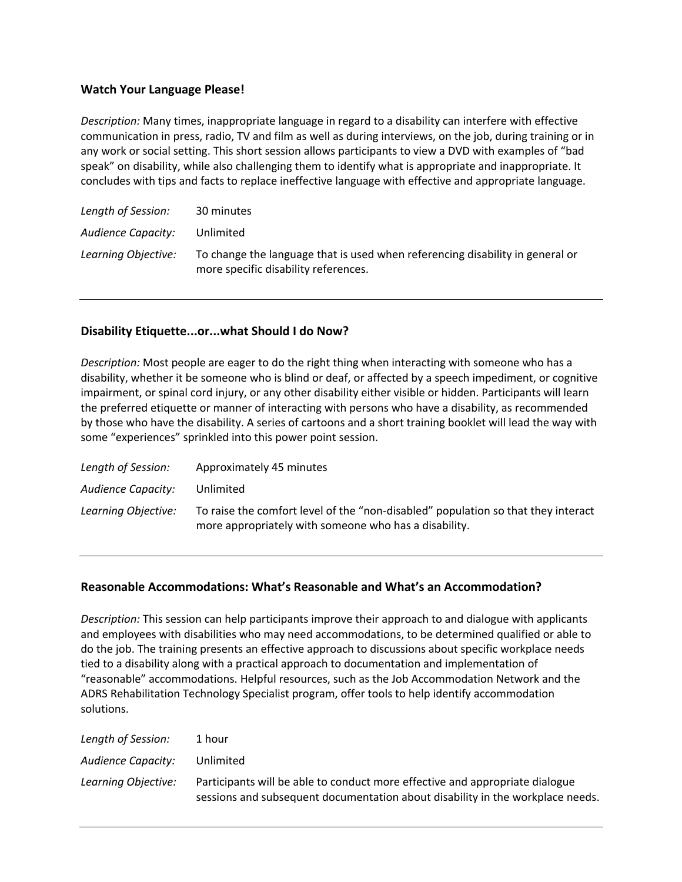### **Watch Your Language Please!**

*Description:* Many times, inappropriate language in regard to a disability can interfere with effective communication in press, radio, TV and film as well as during interviews, on the job, during training or in any work or social setting. This short session allows participants to view a DVD with examples of "bad speak" on disability, while also challenging them to identify what is appropriate and inappropriate. It concludes with tips and facts to replace ineffective language with effective and appropriate language.

| Length of Session:        | 30 minutes                                                                                                            |
|---------------------------|-----------------------------------------------------------------------------------------------------------------------|
| <b>Audience Capacity:</b> | Unlimited                                                                                                             |
| Learning Objective:       | To change the language that is used when referencing disability in general or<br>more specific disability references. |

#### **Disability Etiquette...or...what Should I do Now?**

*Description:* Most people are eager to do the right thing when interacting with someone who has a disability, whether it be someone who is blind or deaf, or affected by a speech impediment, or cognitive impairment, or spinal cord injury, or any other disability either visible or hidden. Participants will learn the preferred etiquette or manner of interacting with persons who have a disability, as recommended by those who have the disability. A series of cartoons and a short training booklet will lead the way with some "experiences" sprinkled into this power point session.

| Length of Session:  | Approximately 45 minutes                                                                                                                   |
|---------------------|--------------------------------------------------------------------------------------------------------------------------------------------|
| Audience Capacity:  | Unlimited                                                                                                                                  |
| Learning Objective: | To raise the comfort level of the "non-disabled" population so that they interact<br>more appropriately with someone who has a disability. |

#### **Reasonable Accommodations: What's Reasonable and What's an Accommodation?**

*Description:* This session can help participants improve their approach to and dialogue with applicants and employees with disabilities who may need accommodations, to be determined qualified or able to do the job. The training presents an effective approach to discussions about specific workplace needs tied to a disability along with a practical approach to documentation and implementation of "reasonable" accommodations. Helpful resources, such as the Job Accommodation Network and the ADRS Rehabilitation Technology Specialist program, offer tools to help identify accommodation solutions.

| Length of Session:        | 1 hour                                                                                                                                                         |
|---------------------------|----------------------------------------------------------------------------------------------------------------------------------------------------------------|
| <b>Audience Capacity:</b> | Unlimited                                                                                                                                                      |
| Learning Objective:       | Participants will be able to conduct more effective and appropriate dialogue<br>sessions and subsequent documentation about disability in the workplace needs. |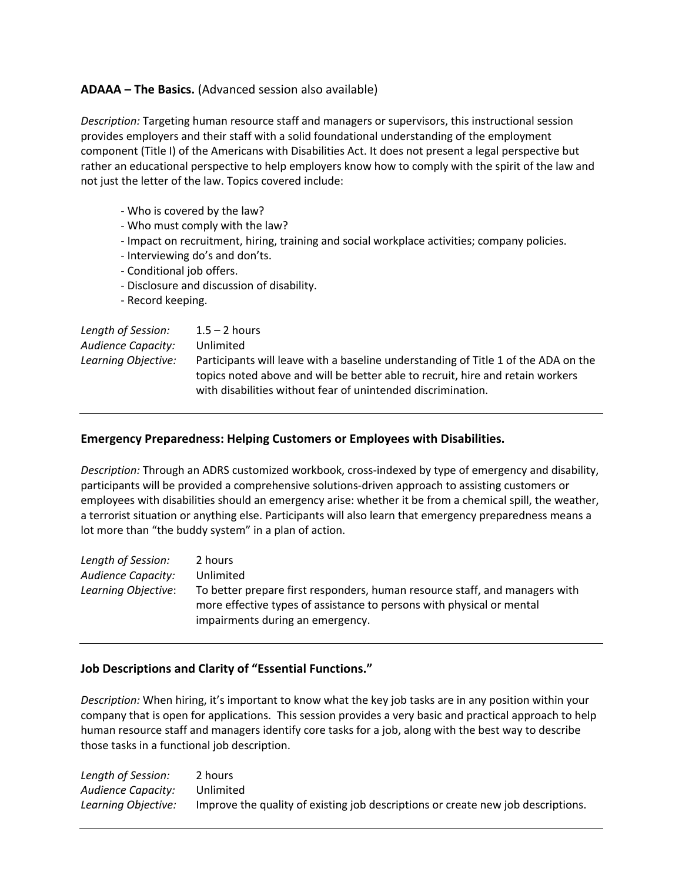# **ADAAA – The Basics.** (Advanced session also available)

*Description:* Targeting human resource staff and managers or supervisors, this instructional session provides employers and their staff with a solid foundational understanding of the employment component (Title I) of the Americans with Disabilities Act. It does not present a legal perspective but rather an educational perspective to help employers know how to comply with the spirit of the law and not just the letter of the law. Topics covered include:

- Who is covered by the law?
- Who must comply with the law?
- Impact on recruitment, hiring, training and social workplace activities; company policies.
- Interviewing do's and don'ts.
- Conditional job offers.
- Disclosure and discussion of disability.
- Record keeping.

| Length of Session:        | $1.5 - 2$ hours                                                                                                                                                      |
|---------------------------|----------------------------------------------------------------------------------------------------------------------------------------------------------------------|
| <b>Audience Capacity:</b> | Unlimited                                                                                                                                                            |
| Learning Objective:       | Participants will leave with a baseline understanding of Title 1 of the ADA on the<br>topics noted above and will be better able to recruit, hire and retain workers |
|                           | with disabilities without fear of unintended discrimination.                                                                                                         |

### **Emergency Preparedness: Helping Customers or Employees with Disabilities.**

*Description:* Through an ADRS customized workbook, cross-indexed by type of emergency and disability, participants will be provided a comprehensive solutions-driven approach to assisting customers or employees with disabilities should an emergency arise: whether it be from a chemical spill, the weather, a terrorist situation or anything else. Participants will also learn that emergency preparedness means a lot more than "the buddy system" in a plan of action.

| Length of Session:  | 2 hours                                                                                                                                                                                  |
|---------------------|------------------------------------------------------------------------------------------------------------------------------------------------------------------------------------------|
| Audience Capacity:  | Unlimited                                                                                                                                                                                |
| Learning Objective: | To better prepare first responders, human resource staff, and managers with<br>more effective types of assistance to persons with physical or mental<br>impairments during an emergency. |

# **Job Descriptions and Clarity of "Essential Functions."**

*Description:* When hiring, it's important to know what the key job tasks are in any position within your company that is open for applications. This session provides a very basic and practical approach to help human resource staff and managers identify core tasks for a job, along with the best way to describe those tasks in a functional job description.

| Length of Session:  | 2 hours                                                                          |
|---------------------|----------------------------------------------------------------------------------|
| Audience Capacity:  | Unlimited                                                                        |
| Learnina Obiective: | Improve the quality of existing job descriptions or create new job descriptions. |